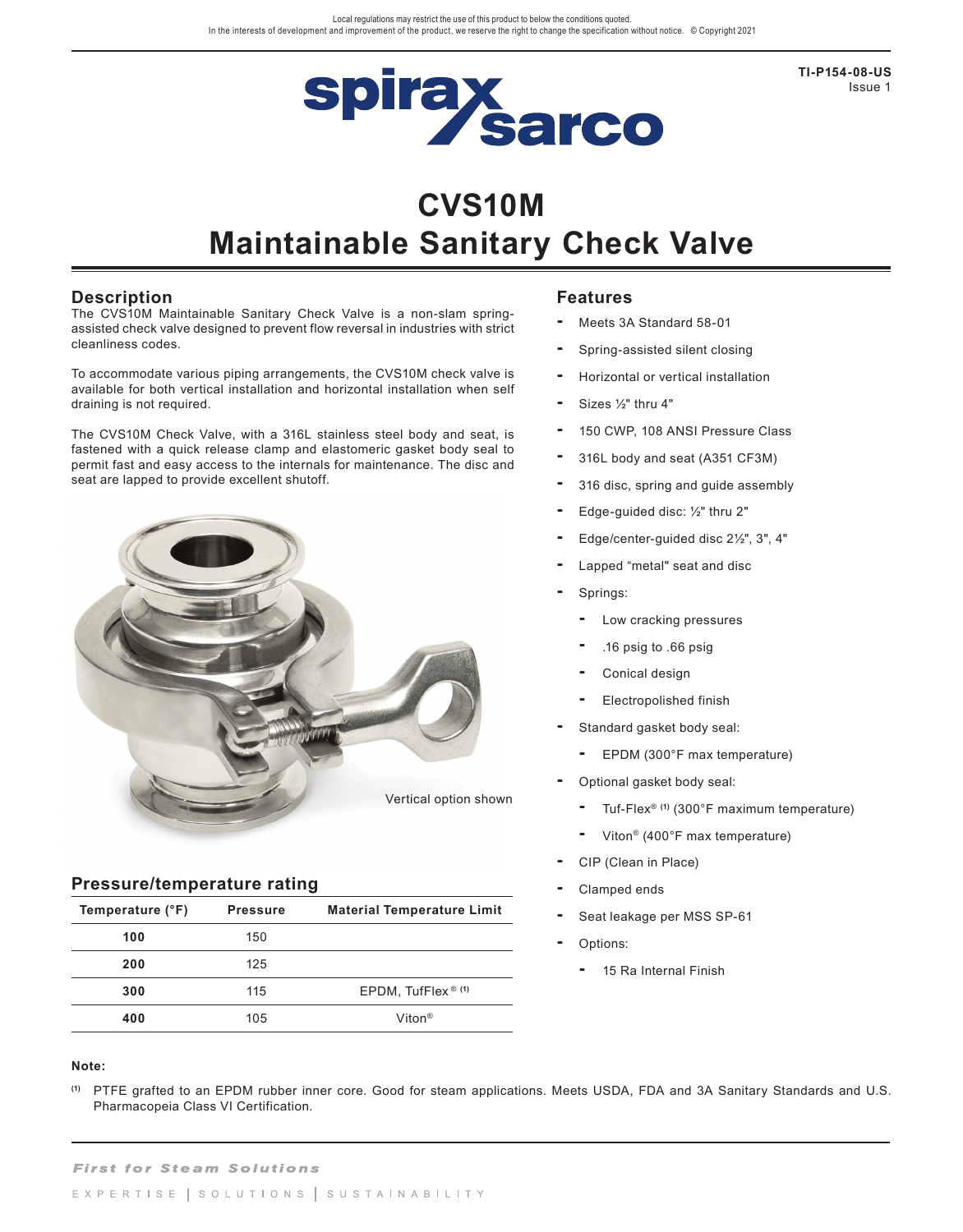

**TI-P154-08-US** Issue 1

# **CVS10M**

# **Maintainable Sanitary Check Valve**

### **Description**

The CVS10M Maintainable Sanitary Check Valve is a non-slam springassisted check valve designed to prevent flow reversal in industries with strict cleanliness codes.

To accommodate various piping arrangements, the CVS10M check valve is available for both vertical installation and horizontal installation when self draining is not required.

The CVS10M Check Valve, with a 316L stainless steel body and seat, is fastened with a quick release clamp and elastomeric gasket body seal to permit fast and easy access to the internals for maintenance. The disc and seat are lapped to provide excellent shutoff.



#### **Pressure/temperature rating**

| Temperature (°F)<br><b>Pressure</b> |     | <b>Material Temperature Limit</b> |  |  |  |
|-------------------------------------|-----|-----------------------------------|--|--|--|
| 100                                 | 150 |                                   |  |  |  |
| 200                                 | 125 |                                   |  |  |  |
| 300                                 | 115 | EPDM, TufFlex $(1)$               |  |  |  |
| 400                                 | 105 | Viton <sup>®</sup>                |  |  |  |

#### **Note:**

**(1)** PTFE grafted to an EPDM rubber inner core. Good for steam applications. Meets USDA, FDA and 3A Sanitary Standards and U.S. Pharmacopeia Class VI Certification.

## **Features**

- **-** Meets 3A Standard 58-01
- **-** Spring-assisted silent closing
- **-** Horizontal or vertical installation
- **-** Sizes ½" thru 4"
- **-** 150 CWP, 108 ANSI Pressure Class
- **-** 316L body and seat (A351 CF3M)
- **-** 316 disc, spring and guide assembly
- **-** Edge-guided disc: ½" thru 2"
- **-** Edge/center-guided disc 2½", 3", 4"
- **-** Lapped "metal" seat and disc
- **-** Springs:
	- **-** Low cracking pressures
	- **-** .16 psig to .66 psig
	- **-** Conical design
	- **-** Electropolished finish
- **-** Standard gasket body seal:
	- **-** EPDM (300°F max temperature)
- **-** Optional gasket body seal:
	- **-** Tuf-Flex® **(1)** (300°F maximum temperature)
	- **-** Viton® (400°F max temperature)
- **-** CIP (Clean in Place)
- **-** Clamped ends
- **-** Seat leakage per MSS SP-61
- **-** Options:
	- **-** 15 Ra Internal Finish